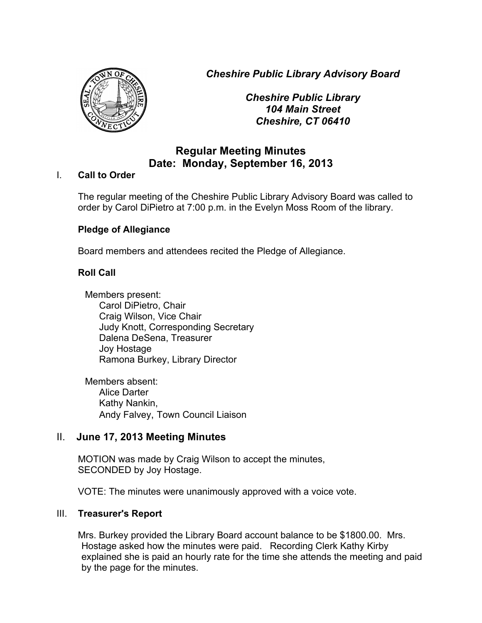*Cheshire Public Library Advisory Board*



*Cheshire Public Library 104 Main Street Cheshire, CT 06410*

# **Regular Meeting Minutes Date: Monday, September 16, 2013**

### I. **Call to Order**

The regular meeting of the Cheshire Public Library Advisory Board was called to order by Carol DiPietro at 7:00 p.m. in the Evelyn Moss Room of the library.

# **Pledge of Allegiance**

Board members and attendees recited the Pledge of Allegiance.

# **Roll Call**

Members present: Carol DiPietro, Chair Craig Wilson, Vice Chair Judy Knott, Corresponding Secretary Dalena DeSena, Treasurer Joy Hostage Ramona Burkey, Library Director

Members absent: Alice Darter Kathy Nankin, Andy Falvey, Town Council Liaison

# II. **June 17, 2013 Meeting Minutes**

MOTION was made by Craig Wilson to accept the minutes, SECONDED by Joy Hostage.

VOTE: The minutes were unanimously approved with a voice vote.

#### III. **Treasurer's Report**

Mrs. Burkey provided the Library Board account balance to be \$1800.00. Mrs. Hostage asked how the minutes were paid. Recording Clerk Kathy Kirby explained she is paid an hourly rate for the time she attends the meeting and paid by the page for the minutes.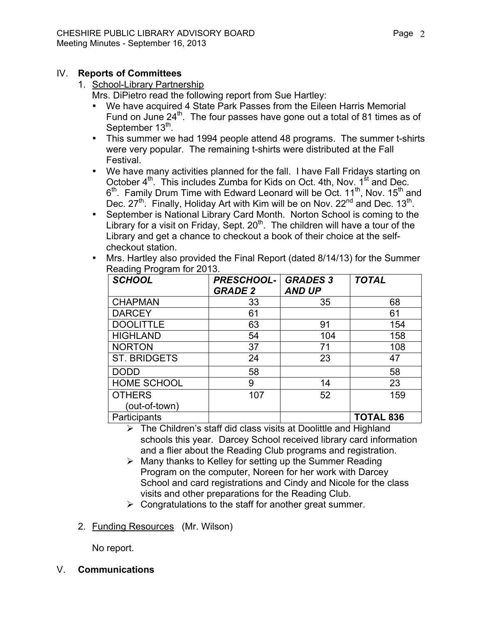### IV. **Reports of Committees**

#### 1. School-Library Partnership

Mrs. DiPietro read the following report from Sue Hartley:

- We have acquired 4 State Park Passes from the Eileen Harris Memorial Fund on June 24<sup>th</sup>. The four passes have gone out a total of 81 times as of September 13<sup>th</sup>.
- This summer we had 1994 people attend 48 programs. The summer t-shirts were very popular. The remaining t-shirts were distributed at the Fall Festival.
- We have many activities planned for the fall. I have Fall Fridays starting on October 4<sup>th</sup>. This includes Zumba for Kids on Oct. 4th, Nov. 1<sup>st</sup> and Dec.  $6<sup>th</sup>$ . Family Drum Time with Edward Leonard will be Oct. 11<sup>th</sup>, Nov. 15<sup>th</sup> and Dec.  $27<sup>th</sup>$ . Finally, Holiday Art with Kim will be on Nov.  $22<sup>nd</sup>$  and Dec.  $13<sup>th</sup>$ .
- September is National Library Card Month. Norton School is coming to the Library for a visit on Friday, Sept.  $20<sup>th</sup>$ . The children will have a tour of the Library and get a chance to checkout a book of their choice at the selfcheckout station.
- Mrs. Hartley also provided the Final Report (dated 8/14/13) for the Summer Reading Program for 2013.

| .g. <del>.</del><br><b>SCHOOL</b> | <b>PRESCHOOL-</b><br><b>GRADE 2</b> | <b>GRADES 3</b><br><b>AND UP</b> | <b>TOTAL</b>     |
|-----------------------------------|-------------------------------------|----------------------------------|------------------|
|                                   |                                     |                                  |                  |
| <b>CHAPMAN</b>                    | 33                                  | 35                               | 68               |
| <b>DARCEY</b>                     | 61                                  |                                  | 61               |
| <b>DOOLITTLE</b>                  | 63                                  | 91                               | 154              |
| <b>HIGHLAND</b>                   | 54                                  | 104                              | 158              |
| <b>NORTON</b>                     | 37                                  | 71                               | 108              |
| <b>ST. BRIDGETS</b>               | 24                                  | 23                               | 47               |
| <b>DODD</b>                       | 58                                  |                                  | 58               |
| <b>HOME SCHOOL</b>                | 9                                   | 14                               | 23               |
| <b>OTHERS</b>                     | 107                                 | 52                               | 159              |
| (out-of-town)                     |                                     |                                  |                  |
| Participants                      |                                     |                                  | <b>TOTAL 836</b> |

 $\triangleright$  The Children's staff did class visits at Doolittle and Highland schools this year. Darcey School received library card information and a flier about the Reading Club programs and registration.

- $\triangleright$  Many thanks to Kelley for setting up the Summer Reading Program on the computer, Noreen for her work with Darcey School and card registrations and Cindy and Nicole for the class visits and other preparations for the Reading Club.
- $\triangleright$  Congratulations to the staff for another great summer.
- 2. Funding Resources (Mr. Wilson)

No report.

V. **Communications**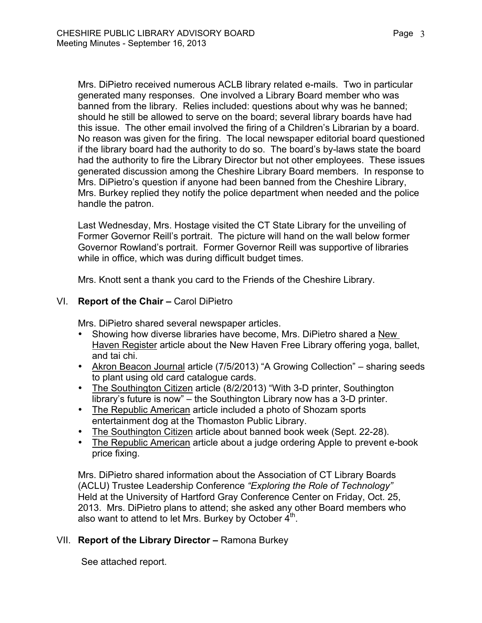Mrs. DiPietro received numerous ACLB library related e-mails. Two in particular generated many responses. One involved a Library Board member who was banned from the library. Relies included: questions about why was he banned; should he still be allowed to serve on the board; several library boards have had this issue. The other email involved the firing of a Children's Librarian by a board. No reason was given for the firing. The local newspaper editorial board questioned if the library board had the authority to do so. The board's by-laws state the board had the authority to fire the Library Director but not other employees. These issues generated discussion among the Cheshire Library Board members. In response to Mrs. DiPietro's question if anyone had been banned from the Cheshire Library, Mrs. Burkey replied they notify the police department when needed and the police handle the patron.

Last Wednesday, Mrs. Hostage visited the CT State Library for the unveiling of Former Governor Reill's portrait. The picture will hand on the wall below former Governor Rowland's portrait. Former Governor Reill was supportive of libraries while in office, which was during difficult budget times.

Mrs. Knott sent a thank you card to the Friends of the Cheshire Library.

### VI. **Report of the Chair –** Carol DiPietro

Mrs. DiPietro shared several newspaper articles.

- Showing how diverse libraries have become, Mrs. DiPietro shared a New Haven Register article about the New Haven Free Library offering yoga, ballet, and tai chi.
- Akron Beacon Journal article (7/5/2013) "A Growing Collection" sharing seeds to plant using old card catalogue cards.
- The Southington Citizen article (8/2/2013) "With 3-D printer, Southington library's future is now" – the Southington Library now has a 3-D printer.
- The Republic American article included a photo of Shozam sports entertainment dog at the Thomaston Public Library.
- The Southington Citizen article about banned book week (Sept. 22-28).
- The Republic American article about a judge ordering Apple to prevent e-book price fixing.

Mrs. DiPietro shared information about the Association of CT Library Boards (ACLU) Trustee Leadership Conference *"Exploring the Role of Technology"* Held at the University of Hartford Gray Conference Center on Friday, Oct. 25, 2013. Mrs. DiPietro plans to attend; she asked any other Board members who also want to attend to let Mrs. Burkey by October  $4<sup>th</sup>$ .

# VII. **Report of the Library Director –** Ramona Burkey

See attached report.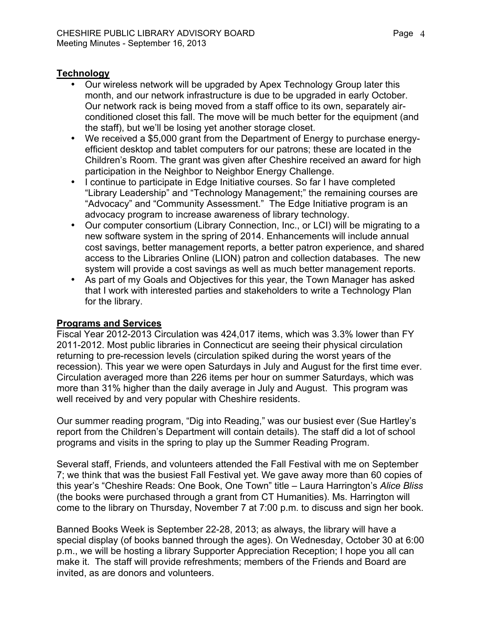# **Technology**

- Our wireless network will be upgraded by Apex Technology Group later this month, and our network infrastructure is due to be upgraded in early October. Our network rack is being moved from a staff office to its own, separately airconditioned closet this fall. The move will be much better for the equipment (and the staff), but we'll be losing yet another storage closet.
- We received a \$5,000 grant from the Department of Energy to purchase energyefficient desktop and tablet computers for our patrons; these are located in the Children's Room. The grant was given after Cheshire received an award for high participation in the Neighbor to Neighbor Energy Challenge.
- I continue to participate in Edge Initiative courses. So far I have completed "Library Leadership" and "Technology Management;" the remaining courses are "Advocacy" and "Community Assessment." The Edge Initiative program is an advocacy program to increase awareness of library technology.
- Our computer consortium (Library Connection, Inc., or LCI) will be migrating to a new software system in the spring of 2014. Enhancements will include annual cost savings, better management reports, a better patron experience, and shared access to the Libraries Online (LION) patron and collection databases. The new system will provide a cost savings as well as much better management reports.
- As part of my Goals and Objectives for this year, the Town Manager has asked that I work with interested parties and stakeholders to write a Technology Plan for the library.

# **Programs and Services**

Fiscal Year 2012-2013 Circulation was 424,017 items, which was 3.3% lower than FY 2011-2012. Most public libraries in Connecticut are seeing their physical circulation returning to pre-recession levels (circulation spiked during the worst years of the recession). This year we were open Saturdays in July and August for the first time ever. Circulation averaged more than 226 items per hour on summer Saturdays, which was more than 31% higher than the daily average in July and August. This program was well received by and very popular with Cheshire residents.

Our summer reading program, "Dig into Reading," was our busiest ever (Sue Hartley's report from the Children's Department will contain details). The staff did a lot of school programs and visits in the spring to play up the Summer Reading Program.

Several staff, Friends, and volunteers attended the Fall Festival with me on September 7; we think that was the busiest Fall Festival yet. We gave away more than 60 copies of this year's "Cheshire Reads: One Book, One Town" title – Laura Harrington's *Alice Bliss*  (the books were purchased through a grant from CT Humanities). Ms. Harrington will come to the library on Thursday, November 7 at 7:00 p.m. to discuss and sign her book.

Banned Books Week is September 22-28, 2013; as always, the library will have a special display (of books banned through the ages). On Wednesday, October 30 at 6:00 p.m., we will be hosting a library Supporter Appreciation Reception; I hope you all can make it. The staff will provide refreshments; members of the Friends and Board are invited, as are donors and volunteers.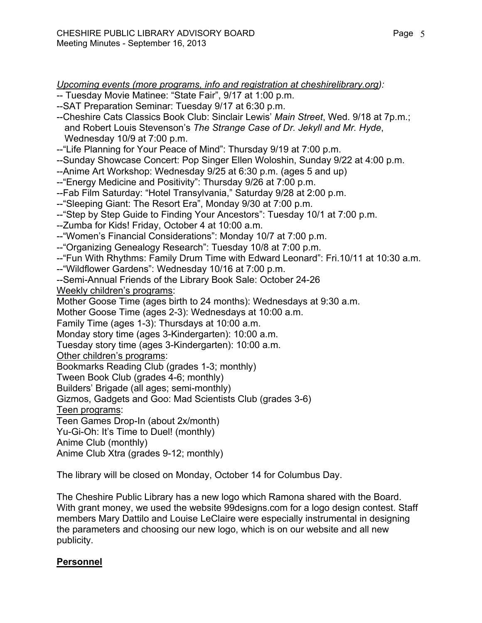*Upcoming events (more programs, info and registration at cheshirelibrary.org):*

- -- Tuesday Movie Matinee: "State Fair", 9/17 at 1:00 p.m.
- --SAT Preparation Seminar: Tuesday 9/17 at 6:30 p.m.
- --Cheshire Cats Classics Book Club: Sinclair Lewis' *Main Street*, Wed. 9/18 at 7p.m.; and Robert Louis Stevenson's *The Strange Case of Dr. Jekyll and Mr. Hyde*, Wednesday 10/9 at 7:00 p.m.
- --"Life Planning for Your Peace of Mind": Thursday 9/19 at 7:00 p.m.
- --Sunday Showcase Concert: Pop Singer Ellen Woloshin, Sunday 9/22 at 4:00 p.m.
- --Anime Art Workshop: Wednesday 9/25 at 6:30 p.m. (ages 5 and up)
- --"Energy Medicine and Positivity": Thursday 9/26 at 7:00 p.m.
- --Fab Film Saturday: "Hotel Transylvania," Saturday 9/28 at 2:00 p.m.
- --"Sleeping Giant: The Resort Era", Monday 9/30 at 7:00 p.m.
- --"Step by Step Guide to Finding Your Ancestors": Tuesday 10/1 at 7:00 p.m.
- --Zumba for Kids! Friday, October 4 at 10:00 a.m.
- --"Women's Financial Considerations": Monday 10/7 at 7:00 p.m.
- --"Organizing Genealogy Research": Tuesday 10/8 at 7:00 p.m.
- --"Fun With Rhythms: Family Drum Time with Edward Leonard": Fri.10/11 at 10:30 a.m.
- --"Wildflower Gardens": Wednesday 10/16 at 7:00 p.m.
- --Semi-Annual Friends of the Library Book Sale: October 24-26

Weekly children's programs:

Mother Goose Time (ages birth to 24 months): Wednesdays at 9:30 a.m.

Mother Goose Time (ages 2-3): Wednesdays at 10:00 a.m.

Family Time (ages 1-3): Thursdays at 10:00 a.m.

Monday story time (ages 3-Kindergarten): 10:00 a.m.

Tuesday story time (ages 3-Kindergarten): 10:00 a.m.

Other children's programs:

Bookmarks Reading Club (grades 1-3; monthly)

Tween Book Club (grades 4-6; monthly)

Builders' Brigade (all ages; semi-monthly)

Gizmos, Gadgets and Goo: Mad Scientists Club (grades 3-6)

Teen programs:

Teen Games Drop-In (about 2x/month)

Yu-Gi-Oh: It's Time to Duel! (monthly)

Anime Club (monthly)

Anime Club Xtra (grades 9-12; monthly)

The library will be closed on Monday, October 14 for Columbus Day.

The Cheshire Public Library has a new logo which Ramona shared with the Board. With grant money, we used the website 99designs.com for a logo design contest. Staff members Mary Dattilo and Louise LeClaire were especially instrumental in designing the parameters and choosing our new logo, which is on our website and all new publicity.

# **Personnel**